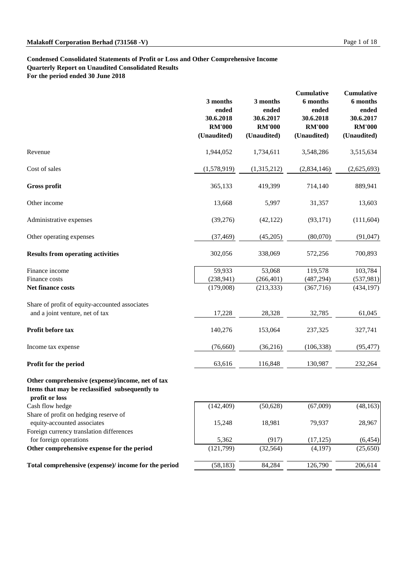# **Condensed Consolidated Statements of Profit or Loss and Other Comprehensive Income Quarterly Report on Unaudited Consolidated Results For the period ended 30 June 2018**

Foreign currency translation differences for foreign operations Other comprehensive expense for the period

Total comprehensive (expense)/ income for the period

| 5,362     | (917)     | (17, 125) | (6,454)  |
|-----------|-----------|-----------|----------|
| (121,799) | (32, 564) | (4,197)   | (25,650) |
| (58, 183) | 84,284    | 126,790   | 206,614  |

|                                                                                                                      | 3 months<br>ended<br>30.6.2018<br><b>RM'000</b><br>(Unaudited) | 3 months<br>ended<br>30.6.2017<br><b>RM'000</b><br>(Unaudited) | <b>Cumulative</b><br><b>6</b> months<br>ended<br>30.6.2018<br><b>RM'000</b><br>(Unaudited) | <b>Cumulative</b><br>6 months<br>ended<br>30.6.2017<br><b>RM'000</b><br>(Unaudited) |
|----------------------------------------------------------------------------------------------------------------------|----------------------------------------------------------------|----------------------------------------------------------------|--------------------------------------------------------------------------------------------|-------------------------------------------------------------------------------------|
| Revenue                                                                                                              | 1,944,052                                                      | 1,734,611                                                      | 3,548,286                                                                                  | 3,515,634                                                                           |
| Cost of sales                                                                                                        | (1,578,919)                                                    | (1,315,212)                                                    | (2,834,146)                                                                                | (2,625,693)                                                                         |
| <b>Gross profit</b>                                                                                                  | 365,133                                                        | 419,399                                                        | 714,140                                                                                    | 889,941                                                                             |
| Other income                                                                                                         | 13,668                                                         | 5,997                                                          | 31,357                                                                                     | 13,603                                                                              |
| Administrative expenses                                                                                              | (39,276)                                                       | (42, 122)                                                      | (93,171)                                                                                   | (111,604)                                                                           |
| Other operating expenses                                                                                             | (37, 469)                                                      | (45,205)                                                       | (80,070)                                                                                   | (91, 047)                                                                           |
| <b>Results from operating activities</b>                                                                             | 302,056                                                        | 338,069                                                        | 572,256                                                                                    | 700,893                                                                             |
| Finance income                                                                                                       | 59,933                                                         | 53,068                                                         | 119,578                                                                                    | 103,784                                                                             |
| Finance costs                                                                                                        | (238, 941)                                                     | (266, 401)                                                     | (487, 294)                                                                                 | (537,981)                                                                           |
| Net finance costs                                                                                                    | (179,008)                                                      | (213, 333)                                                     | (367,716)                                                                                  | (434, 197)                                                                          |
| Share of profit of equity-accounted associates                                                                       |                                                                |                                                                |                                                                                            |                                                                                     |
| and a joint venture, net of tax                                                                                      | 17,228                                                         | 28,328                                                         | 32,785                                                                                     | 61,045                                                                              |
| Profit before tax                                                                                                    | 140,276                                                        | 153,064                                                        | 237,325                                                                                    | 327,741                                                                             |
| Income tax expense                                                                                                   | (76,660)                                                       | (36,216)                                                       | (106, 338)                                                                                 | (95, 477)                                                                           |
| <b>Profit for the period</b>                                                                                         | 63,616                                                         | 116,848                                                        | 130,987                                                                                    | 232,264                                                                             |
| Other comprehensive (expense)/income, net of tax<br>Items that may be reclassified subsequently to<br>profit or loss |                                                                |                                                                |                                                                                            |                                                                                     |
| Cash flow hedge                                                                                                      | (142, 409)                                                     | (50,628)                                                       | (67,009)                                                                                   | (48, 163)                                                                           |
| Share of profit on hedging reserve of<br>equity-accounted associates                                                 | 15,248                                                         | 18,981                                                         | 79,937                                                                                     | 28,967                                                                              |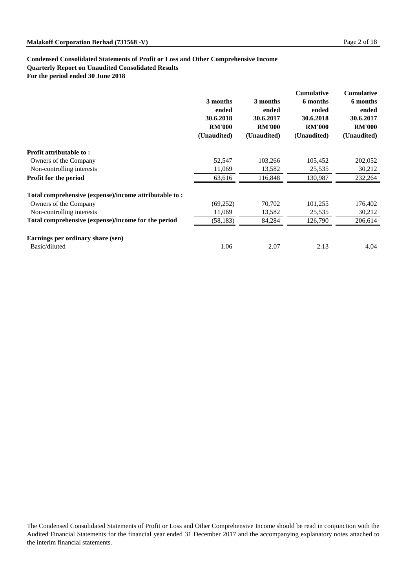# **Condensed Consolidated Statements of Profit or Loss and Other Comprehensive Income Quarterly Report on Unaudited Consolidated Results For the period ended 30 June 2018**

|                                                       | 3 months<br>ended<br>30.6.2018<br><b>RM'000</b><br>(Unaudited) | 3 months<br>ended<br>30.6.2017<br><b>RM'000</b><br>(Unaudited) | <b>Cumulative</b><br>6 months<br>ended<br>30.6.2018<br><b>RM'000</b><br>(Unaudited) | <b>Cumulative</b><br>6 months<br>ended<br>30.6.2017<br><b>RM'000</b><br>(Unaudited) |
|-------------------------------------------------------|----------------------------------------------------------------|----------------------------------------------------------------|-------------------------------------------------------------------------------------|-------------------------------------------------------------------------------------|
| <b>Profit attributable to:</b>                        |                                                                |                                                                |                                                                                     |                                                                                     |
| Owners of the Company                                 | 52,547                                                         | 103,266                                                        | 105,452                                                                             | 202,052                                                                             |
| Non-controlling interests                             | 11,069                                                         | 13,582                                                         | 25,535                                                                              | 30,212                                                                              |
| <b>Profit for the period</b>                          | 63,616                                                         | 116,848                                                        | 130,987                                                                             | 232,264                                                                             |
| Total comprehensive (expense)/income attributable to: |                                                                |                                                                |                                                                                     |                                                                                     |
| Owners of the Company                                 | (69,252)                                                       | 70,702                                                         | 101,255                                                                             | 176,402                                                                             |
| Non-controlling interests                             | 11,069                                                         | 13,582                                                         | 25,535                                                                              | 30,212                                                                              |
| Total comprehensive (expense)/income for the period   | (58, 183)                                                      | 84,284                                                         | 126,790                                                                             | 206,614                                                                             |
| Earnings per ordinary share (sen)                     |                                                                |                                                                |                                                                                     |                                                                                     |
| Basic/diluted                                         | 1.06                                                           | 2.07                                                           | 2.13                                                                                | 4.04                                                                                |

The Condensed Consolidated Statements of Profit or Loss and Other Comprehensive Income should be read in conjunction with the Audited Financial Statements for the financial year ended 31 December 2017 and the accompanying explanatory notes attached to the interim financial statements.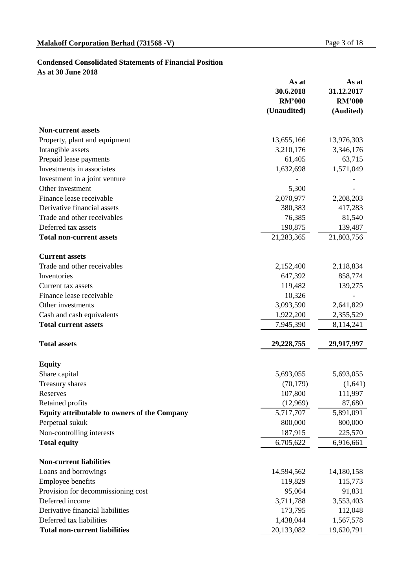# **Condensed Consolidated Statements of Financial Position**

**As at 30 June 2018**

|                                                     | As at<br>30.6.2018<br><b>RM'000</b><br>(Unaudited) | As at<br>31.12.2017<br><b>RM'000</b><br>(Audited) |
|-----------------------------------------------------|----------------------------------------------------|---------------------------------------------------|
| <b>Non-current assets</b>                           |                                                    |                                                   |
| Property, plant and equipment                       | 13,655,166                                         | 13,976,303                                        |
| Intangible assets                                   | 3,210,176                                          | 3,346,176                                         |
| Prepaid lease payments                              | 61,405                                             | 63,715                                            |
| Investments in associates                           | 1,632,698                                          | 1,571,049                                         |
| Investment in a joint venture                       |                                                    |                                                   |
| Other investment                                    | 5,300                                              |                                                   |
| Finance lease receivable                            | 2,070,977                                          | 2,208,203                                         |
| Derivative financial assets                         | 380,383                                            | 417,283                                           |
| Trade and other receivables                         | 76,385                                             | 81,540                                            |
| Deferred tax assets                                 | 190,875                                            | 139,487                                           |
| <b>Total non-current assets</b>                     | 21,283,365                                         | 21,803,756                                        |
| <b>Current assets</b>                               |                                                    |                                                   |
| Trade and other receivables                         | 2,152,400                                          | 2,118,834                                         |
| Inventories                                         | 647,392                                            | 858,774                                           |
| Current tax assets                                  | 119,482                                            | 139,275                                           |
| Finance lease receivable                            | 10,326                                             |                                                   |
| Other investments                                   | 3,093,590                                          | 2,641,829                                         |
| Cash and cash equivalents                           | 1,922,200                                          | 2,355,529                                         |
| <b>Total current assets</b>                         | 7,945,390                                          | 8,114,241                                         |
| <b>Total assets</b>                                 | 29,228,755                                         | 29,917,997                                        |
| <b>Equity</b>                                       |                                                    |                                                   |
| Share capital                                       | 5,693,055                                          | 5,693,055                                         |
| <b>Treasury shares</b>                              | (70, 179)                                          | (1,641)                                           |
| Reserves                                            | 107,800                                            | 111,997                                           |
| <b>Retained profits</b>                             | (12,969)                                           | 87,680                                            |
| <b>Equity attributable to owners of the Company</b> | 5,717,707                                          | 5,891,091                                         |
| Perpetual sukuk                                     | 800,000                                            | 800,000                                           |
| Non-controlling interests                           | 187,915                                            | 225,570                                           |
| <b>Total equity</b>                                 | 6,705,622                                          | 6,916,661                                         |
| <b>Non-current liabilities</b>                      |                                                    |                                                   |
| Loans and borrowings                                | 14,594,562                                         | 14,180,158                                        |
| <b>Employee benefits</b>                            | 119,829                                            | 115,773                                           |
| Provision for decommissioning cost                  | 95,064                                             | 91,831                                            |
| Deferred income                                     | 3,711,788                                          | 3,553,403                                         |
| Derivative financial liabilities                    | 173,795                                            | 112,048                                           |
| Deferred tax liabilities                            | 1,438,044                                          | 1,567,578                                         |
| <b>Total non-current liabilities</b>                | 20,133,082                                         | 19,620,791                                        |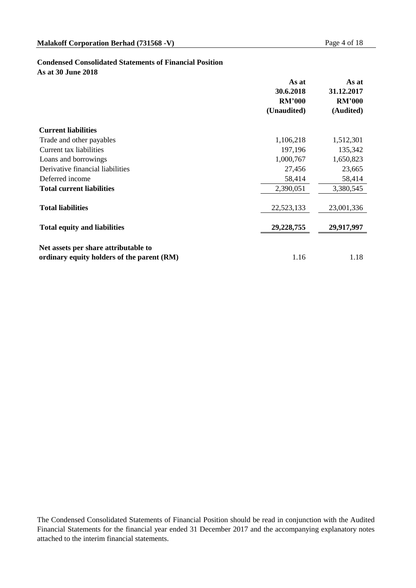# **Condensed Consolidated Statements of Financial Position**

**As at 30 June 2018**

|                                            | As at<br>30.6.2018 | As at<br>31.12.2017 |
|--------------------------------------------|--------------------|---------------------|
|                                            | <b>RM'000</b>      | <b>RM'000</b>       |
|                                            | (Unaudited)        | (Audited)           |
| <b>Current liabilities</b>                 |                    |                     |
| Trade and other payables                   | 1,106,218          | 1,512,301           |
| <b>Current tax liabilities</b>             | 197,196            | 135,342             |
| Loans and borrowings                       | 1,000,767          | 1,650,823           |
| Derivative financial liabilities           | 27,456             | 23,665              |
| Deferred income                            | 58,414             | 58,414              |
| <b>Total current liabilities</b>           | 2,390,051          | 3,380,545           |
| <b>Total liabilities</b>                   | 22,523,133         | 23,001,336          |
| <b>Total equity and liabilities</b>        | 29,228,755         | 29,917,997          |
| Net assets per share attributable to       |                    |                     |
| ordinary equity holders of the parent (RM) | 1.16               | 1.18                |

The Condensed Consolidated Statements of Financial Position should be read in conjunction with the Audited Financial Statements for the financial year ended 31 December 2017 and the accompanying explanatory notes attached to the interim financial statements.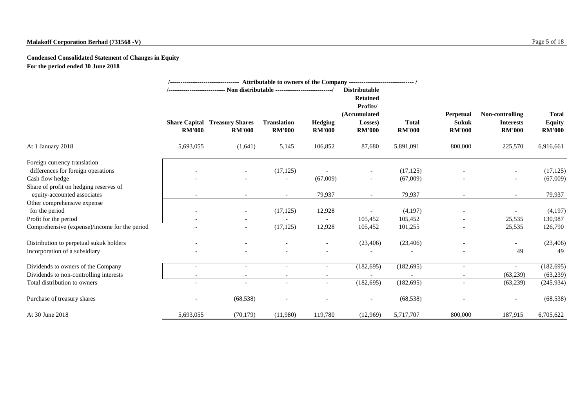# **Malakoff Corporation Berhad (731568 -V)** Page 5 of 18

**Condensed Consolidated Statement of Changes in Equity For the period ended 30 June 2018**

|                                               |                                       |                                         |                                     |                                 | <b>Distributable</b><br><b>Retained</b><br>Profits/ |                               |                                                   |                                                      |                                                |
|-----------------------------------------------|---------------------------------------|-----------------------------------------|-------------------------------------|---------------------------------|-----------------------------------------------------|-------------------------------|---------------------------------------------------|------------------------------------------------------|------------------------------------------------|
|                                               | <b>Share Capital</b><br><b>RM'000</b> | <b>Treasury Shares</b><br><b>RM'000</b> | <b>Translation</b><br><b>RM'000</b> | <b>Hedging</b><br><b>RM'000</b> | (Accumulated<br>Losses)<br><b>RM'000</b>            | <b>Total</b><br><b>RM'000</b> | <b>Perpetual</b><br><b>Sukuk</b><br><b>RM'000</b> | Non-controlling<br><b>Interests</b><br><b>RM'000</b> | <b>Total</b><br><b>Equity</b><br><b>RM'000</b> |
| At 1 January 2018                             | 5,693,055                             | (1,641)                                 | 5,145                               | 106,852                         | 87,680                                              | 5,891,091                     | 800,000                                           | 225,570                                              | 6,916,661                                      |
| Foreign currency translation                  |                                       |                                         |                                     |                                 |                                                     |                               |                                                   |                                                      |                                                |
| differences for foreign operations            |                                       |                                         | (17, 125)                           |                                 | Ξ.                                                  | (17, 125)                     |                                                   | $\sim$                                               | (17, 125)                                      |
| Cash flow hedge                               |                                       |                                         |                                     | (67,009)                        | $\overline{\phantom{a}}$                            | (67,009)                      |                                                   | $\sim$                                               | (67,009)                                       |
| Share of profit on hedging reserves of        |                                       |                                         |                                     |                                 |                                                     |                               |                                                   |                                                      |                                                |
| equity-accounted associates                   |                                       |                                         | $\overline{\phantom{0}}$            | 79,937                          | $\overline{\phantom{0}}$                            | 79,937                        |                                                   | $\overline{\phantom{a}}$                             | 79,937                                         |
| Other comprehensive expense                   |                                       |                                         |                                     |                                 |                                                     |                               |                                                   |                                                      |                                                |
| for the period                                |                                       | $\sim$                                  | (17, 125)                           | 12,928                          |                                                     | (4,197)                       |                                                   |                                                      | (4,197)                                        |
| Profit for the period                         |                                       |                                         |                                     |                                 | 105,452                                             | 105,452                       |                                                   | 25,535                                               | 130,987                                        |
| Comprehensive (expense)/income for the period |                                       | $\overline{\phantom{a}}$                | (17, 125)                           | 12,928                          | 105,452                                             | 101,255                       | $\overline{\phantom{a}}$                          | 25,535                                               | 126,790                                        |
| Distribution to perpetual sukuk holders       |                                       |                                         |                                     | $\sim$                          | (23, 406)                                           | (23,406)                      |                                                   | $\sim$                                               | (23, 406)                                      |
| Incorporation of a subsidiary                 |                                       |                                         |                                     |                                 |                                                     |                               |                                                   | 49                                                   | 49                                             |
| Dividends to owners of the Company            |                                       |                                         |                                     |                                 | (182, 695)                                          | (182, 695)                    |                                                   | $\overline{\phantom{a}}$                             | (182, 695)                                     |
| Dividends to non-controlling interests        |                                       |                                         |                                     |                                 |                                                     |                               |                                                   | (63,239)                                             | (63,239)                                       |
| Total distribution to owners                  | $\overline{\phantom{a}}$              | $\sim$                                  |                                     | $\overline{\phantom{a}}$        | (182, 695)                                          | (182, 695)                    |                                                   | (63,239)                                             | (245, 934)                                     |
| Purchase of treasury shares                   |                                       | (68, 538)                               |                                     |                                 | $\overline{\phantom{a}}$                            | (68, 538)                     |                                                   | $\overline{\phantom{a}}$                             | (68, 538)                                      |
| At 30 June 2018                               | 5,693,055                             | (70, 179)                               | (11,980)                            | 119,780                         | (12,969)                                            | 5,717,707                     | 800,000                                           | 187,915                                              | 6,705,622                                      |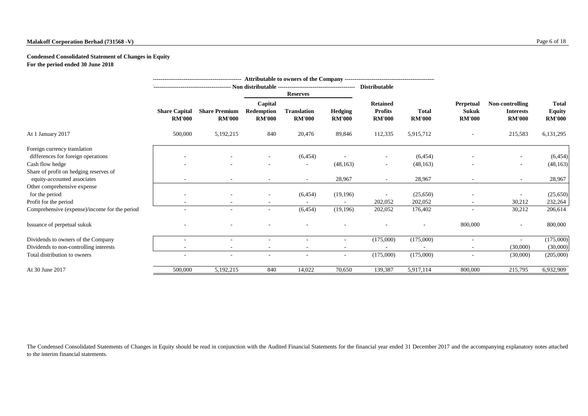# **Malakoff Corporation Berhad (731568 -V)** Page 6 of 18

# **Condensed Consolidated Statement of Changes in Equity For the period ended 30 June 2018**

|                                                                       |                                       |                                       |                                        | <b>Reserves</b>                     |                                 |                                                    |                               |                                                   |                                                      |                                                |
|-----------------------------------------------------------------------|---------------------------------------|---------------------------------------|----------------------------------------|-------------------------------------|---------------------------------|----------------------------------------------------|-------------------------------|---------------------------------------------------|------------------------------------------------------|------------------------------------------------|
|                                                                       | <b>Share Capital</b><br><b>RM'000</b> | <b>Share Premium</b><br><b>RM'000</b> | Capital<br>Redemption<br><b>RM'000</b> | <b>Translation</b><br><b>RM'000</b> | <b>Hedging</b><br><b>RM'000</b> | <b>Retained</b><br><b>Profits</b><br><b>RM'000</b> | <b>Total</b><br><b>RM'000</b> | <b>Perpetual</b><br><b>Sukuk</b><br><b>RM'000</b> | Non-controlling<br><b>Interests</b><br><b>RM'000</b> | <b>Total</b><br><b>Equity</b><br><b>RM'000</b> |
| At 1 January 2017                                                     | 500,000                               | 5, 192, 215                           | 840                                    | 20,476                              | 89,846                          | 112,335                                            | 5,915,712                     |                                                   | 215,583                                              | 6,131,295                                      |
| Foreign currency translation                                          |                                       |                                       |                                        |                                     |                                 |                                                    |                               |                                                   |                                                      |                                                |
| differences for foreign operations                                    |                                       |                                       |                                        | (6, 454)                            |                                 |                                                    | (6, 454)                      |                                                   |                                                      | (6, 454)                                       |
| Cash flow hedge                                                       |                                       |                                       |                                        |                                     | (48, 163)                       | $\overline{\phantom{a}}$                           | (48, 163)                     |                                                   | $\sim$                                               | (48, 163)                                      |
| Share of profit on hedging reserves of<br>equity-accounted associates |                                       |                                       |                                        |                                     | 28,967                          |                                                    | 28,967                        |                                                   |                                                      | 28,967                                         |
| Other comprehensive expense                                           |                                       |                                       |                                        |                                     |                                 |                                                    |                               |                                                   |                                                      |                                                |
| for the period                                                        |                                       |                                       |                                        | (6, 454)                            | (19,196)                        |                                                    | (25,650)                      |                                                   |                                                      | (25,650)                                       |
| Profit for the period                                                 |                                       |                                       |                                        |                                     |                                 | 202,052                                            | 202,052                       |                                                   | 30,212                                               | 232,264                                        |
| Comprehensive (expense)/income for the period                         |                                       | $\sim$                                | $\sim$                                 | (6, 454)                            | (19,196)                        | 202,052                                            | 176,402                       | $\sim$                                            | 30,212                                               | 206,614                                        |
| Issuance of perpetual sukuk                                           |                                       |                                       |                                        |                                     |                                 |                                                    |                               | 800,000                                           | $\sim$                                               | 800,000                                        |
| Dividends to owners of the Company                                    |                                       |                                       |                                        |                                     |                                 | (175,000)                                          | (175,000)                     |                                                   |                                                      | (175,000)                                      |
| Dividends to non-controlling interests                                |                                       |                                       |                                        |                                     |                                 |                                                    |                               |                                                   | (30,000)                                             | (30,000)                                       |
| Total distribution to owners                                          | $\overline{\phantom{a}}$              |                                       |                                        |                                     | $\overline{\phantom{a}}$        | (175,000)                                          | (175,000)                     |                                                   | (30,000)                                             | (205,000)                                      |
| At 30 June 2017                                                       | 500,000                               | 5, 192, 215                           | 840                                    | 14,022                              | 70,650                          | 139,387                                            | 5,917,114                     | 800,000                                           | 215,795                                              | 6,932,909                                      |

The Condensed Consolidated Statements of Changes in Equity should be read in conjunction with the Audited Financial Statements for the financial year ended 31 December 2017 and the accompanying explanatory notes attached to the interim financial statements.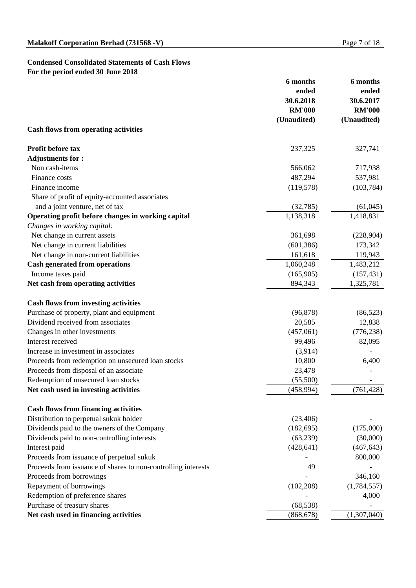# **Condensed Consolidated Statements of Cash Flows For the period ended 30 June 2018**

| ended<br>ended<br>30.6.2018<br>30.6.2017<br><b>RM'000</b><br><b>RM'000</b><br>(Unaudited)<br>(Unaudited)<br><b>Cash flows from operating activities</b><br><b>Profit before tax</b><br>237,325<br>327,741<br><b>Adjustments for:</b><br>Non cash-items<br>566,062<br>717,938<br>487,294<br>537,981<br>Finance costs<br>Finance income<br>(103, 784)<br>(119,578)<br>Share of profit of equity-accounted associates<br>and a joint venture, net of tax<br>(32,785)<br>(61, 045)<br>Operating profit before changes in working capital<br>1,138,318<br>1,418,831<br>Changes in working capital:<br>Net change in current assets<br>361,698<br>(228,904)<br>Net change in current liabilities<br>173,342<br>(601, 386)<br>161,618<br>Net change in non-current liabilities<br>119,943<br><b>Cash generated from operations</b><br>1,060,248<br>1,483,212<br>(165,905)<br>(157, 431)<br>Income taxes paid<br>Net cash from operating activities<br>894,343<br>1,325,781<br><b>Cash flows from investing activities</b><br>Purchase of property, plant and equipment<br>(96, 878)<br>(86, 523)<br>Dividend received from associates<br>20,585<br>12,838<br>Changes in other investments<br>(457,061)<br>(776, 238)<br>Interest received<br>82,095<br>99,496<br>Increase in investment in associates<br>(3,914)<br>Proceeds from redemption on unsecured loan stocks<br>10,800<br>6,400<br>Proceeds from disposal of an associate<br>23,478<br>Redemption of unsecured loan stocks<br>(55,500)<br>(761, 428)<br>Net cash used in investing activities<br>(458, 994)<br><b>Cash flows from financing activities</b><br>Distribution to perpetual sukuk holder<br>(23,406)<br>Dividends paid to the owners of the Company<br>(182, 695)<br>(175,000)<br>Dividends paid to non-controlling interests<br>(63,239)<br>(30,000)<br>(428, 641)<br>Interest paid<br>(467, 643)<br>Proceeds from issuance of perpetual sukuk<br>800,000<br>Proceeds from issuance of shares to non-controlling interests<br>49<br>346,160<br>Proceeds from borrowings<br>Repayment of borrowings<br>(102, 208)<br>(1,784,557)<br>Redemption of preference shares<br>4,000<br>Purchase of treasury shares<br>(68, 538)<br>(1,307,040)<br>Net cash used in financing activities<br>(868, 678) | 6 months | 6 months |  |
|--------------------------------------------------------------------------------------------------------------------------------------------------------------------------------------------------------------------------------------------------------------------------------------------------------------------------------------------------------------------------------------------------------------------------------------------------------------------------------------------------------------------------------------------------------------------------------------------------------------------------------------------------------------------------------------------------------------------------------------------------------------------------------------------------------------------------------------------------------------------------------------------------------------------------------------------------------------------------------------------------------------------------------------------------------------------------------------------------------------------------------------------------------------------------------------------------------------------------------------------------------------------------------------------------------------------------------------------------------------------------------------------------------------------------------------------------------------------------------------------------------------------------------------------------------------------------------------------------------------------------------------------------------------------------------------------------------------------------------------------------------------------------------------------------------------------------------------------------------------------------------------------------------------------------------------------------------------------------------------------------------------------------------------------------------------------------------------------------------------------------------------------------------------------------------------------------------------------------------------------------------------|----------|----------|--|
|                                                                                                                                                                                                                                                                                                                                                                                                                                                                                                                                                                                                                                                                                                                                                                                                                                                                                                                                                                                                                                                                                                                                                                                                                                                                                                                                                                                                                                                                                                                                                                                                                                                                                                                                                                                                                                                                                                                                                                                                                                                                                                                                                                                                                                                              |          |          |  |
|                                                                                                                                                                                                                                                                                                                                                                                                                                                                                                                                                                                                                                                                                                                                                                                                                                                                                                                                                                                                                                                                                                                                                                                                                                                                                                                                                                                                                                                                                                                                                                                                                                                                                                                                                                                                                                                                                                                                                                                                                                                                                                                                                                                                                                                              |          |          |  |
|                                                                                                                                                                                                                                                                                                                                                                                                                                                                                                                                                                                                                                                                                                                                                                                                                                                                                                                                                                                                                                                                                                                                                                                                                                                                                                                                                                                                                                                                                                                                                                                                                                                                                                                                                                                                                                                                                                                                                                                                                                                                                                                                                                                                                                                              |          |          |  |
|                                                                                                                                                                                                                                                                                                                                                                                                                                                                                                                                                                                                                                                                                                                                                                                                                                                                                                                                                                                                                                                                                                                                                                                                                                                                                                                                                                                                                                                                                                                                                                                                                                                                                                                                                                                                                                                                                                                                                                                                                                                                                                                                                                                                                                                              |          |          |  |
|                                                                                                                                                                                                                                                                                                                                                                                                                                                                                                                                                                                                                                                                                                                                                                                                                                                                                                                                                                                                                                                                                                                                                                                                                                                                                                                                                                                                                                                                                                                                                                                                                                                                                                                                                                                                                                                                                                                                                                                                                                                                                                                                                                                                                                                              |          |          |  |
|                                                                                                                                                                                                                                                                                                                                                                                                                                                                                                                                                                                                                                                                                                                                                                                                                                                                                                                                                                                                                                                                                                                                                                                                                                                                                                                                                                                                                                                                                                                                                                                                                                                                                                                                                                                                                                                                                                                                                                                                                                                                                                                                                                                                                                                              |          |          |  |
|                                                                                                                                                                                                                                                                                                                                                                                                                                                                                                                                                                                                                                                                                                                                                                                                                                                                                                                                                                                                                                                                                                                                                                                                                                                                                                                                                                                                                                                                                                                                                                                                                                                                                                                                                                                                                                                                                                                                                                                                                                                                                                                                                                                                                                                              |          |          |  |
|                                                                                                                                                                                                                                                                                                                                                                                                                                                                                                                                                                                                                                                                                                                                                                                                                                                                                                                                                                                                                                                                                                                                                                                                                                                                                                                                                                                                                                                                                                                                                                                                                                                                                                                                                                                                                                                                                                                                                                                                                                                                                                                                                                                                                                                              |          |          |  |
|                                                                                                                                                                                                                                                                                                                                                                                                                                                                                                                                                                                                                                                                                                                                                                                                                                                                                                                                                                                                                                                                                                                                                                                                                                                                                                                                                                                                                                                                                                                                                                                                                                                                                                                                                                                                                                                                                                                                                                                                                                                                                                                                                                                                                                                              |          |          |  |
|                                                                                                                                                                                                                                                                                                                                                                                                                                                                                                                                                                                                                                                                                                                                                                                                                                                                                                                                                                                                                                                                                                                                                                                                                                                                                                                                                                                                                                                                                                                                                                                                                                                                                                                                                                                                                                                                                                                                                                                                                                                                                                                                                                                                                                                              |          |          |  |
|                                                                                                                                                                                                                                                                                                                                                                                                                                                                                                                                                                                                                                                                                                                                                                                                                                                                                                                                                                                                                                                                                                                                                                                                                                                                                                                                                                                                                                                                                                                                                                                                                                                                                                                                                                                                                                                                                                                                                                                                                                                                                                                                                                                                                                                              |          |          |  |
|                                                                                                                                                                                                                                                                                                                                                                                                                                                                                                                                                                                                                                                                                                                                                                                                                                                                                                                                                                                                                                                                                                                                                                                                                                                                                                                                                                                                                                                                                                                                                                                                                                                                                                                                                                                                                                                                                                                                                                                                                                                                                                                                                                                                                                                              |          |          |  |
|                                                                                                                                                                                                                                                                                                                                                                                                                                                                                                                                                                                                                                                                                                                                                                                                                                                                                                                                                                                                                                                                                                                                                                                                                                                                                                                                                                                                                                                                                                                                                                                                                                                                                                                                                                                                                                                                                                                                                                                                                                                                                                                                                                                                                                                              |          |          |  |
|                                                                                                                                                                                                                                                                                                                                                                                                                                                                                                                                                                                                                                                                                                                                                                                                                                                                                                                                                                                                                                                                                                                                                                                                                                                                                                                                                                                                                                                                                                                                                                                                                                                                                                                                                                                                                                                                                                                                                                                                                                                                                                                                                                                                                                                              |          |          |  |
|                                                                                                                                                                                                                                                                                                                                                                                                                                                                                                                                                                                                                                                                                                                                                                                                                                                                                                                                                                                                                                                                                                                                                                                                                                                                                                                                                                                                                                                                                                                                                                                                                                                                                                                                                                                                                                                                                                                                                                                                                                                                                                                                                                                                                                                              |          |          |  |
|                                                                                                                                                                                                                                                                                                                                                                                                                                                                                                                                                                                                                                                                                                                                                                                                                                                                                                                                                                                                                                                                                                                                                                                                                                                                                                                                                                                                                                                                                                                                                                                                                                                                                                                                                                                                                                                                                                                                                                                                                                                                                                                                                                                                                                                              |          |          |  |
|                                                                                                                                                                                                                                                                                                                                                                                                                                                                                                                                                                                                                                                                                                                                                                                                                                                                                                                                                                                                                                                                                                                                                                                                                                                                                                                                                                                                                                                                                                                                                                                                                                                                                                                                                                                                                                                                                                                                                                                                                                                                                                                                                                                                                                                              |          |          |  |
|                                                                                                                                                                                                                                                                                                                                                                                                                                                                                                                                                                                                                                                                                                                                                                                                                                                                                                                                                                                                                                                                                                                                                                                                                                                                                                                                                                                                                                                                                                                                                                                                                                                                                                                                                                                                                                                                                                                                                                                                                                                                                                                                                                                                                                                              |          |          |  |
|                                                                                                                                                                                                                                                                                                                                                                                                                                                                                                                                                                                                                                                                                                                                                                                                                                                                                                                                                                                                                                                                                                                                                                                                                                                                                                                                                                                                                                                                                                                                                                                                                                                                                                                                                                                                                                                                                                                                                                                                                                                                                                                                                                                                                                                              |          |          |  |
|                                                                                                                                                                                                                                                                                                                                                                                                                                                                                                                                                                                                                                                                                                                                                                                                                                                                                                                                                                                                                                                                                                                                                                                                                                                                                                                                                                                                                                                                                                                                                                                                                                                                                                                                                                                                                                                                                                                                                                                                                                                                                                                                                                                                                                                              |          |          |  |
|                                                                                                                                                                                                                                                                                                                                                                                                                                                                                                                                                                                                                                                                                                                                                                                                                                                                                                                                                                                                                                                                                                                                                                                                                                                                                                                                                                                                                                                                                                                                                                                                                                                                                                                                                                                                                                                                                                                                                                                                                                                                                                                                                                                                                                                              |          |          |  |
|                                                                                                                                                                                                                                                                                                                                                                                                                                                                                                                                                                                                                                                                                                                                                                                                                                                                                                                                                                                                                                                                                                                                                                                                                                                                                                                                                                                                                                                                                                                                                                                                                                                                                                                                                                                                                                                                                                                                                                                                                                                                                                                                                                                                                                                              |          |          |  |
|                                                                                                                                                                                                                                                                                                                                                                                                                                                                                                                                                                                                                                                                                                                                                                                                                                                                                                                                                                                                                                                                                                                                                                                                                                                                                                                                                                                                                                                                                                                                                                                                                                                                                                                                                                                                                                                                                                                                                                                                                                                                                                                                                                                                                                                              |          |          |  |
|                                                                                                                                                                                                                                                                                                                                                                                                                                                                                                                                                                                                                                                                                                                                                                                                                                                                                                                                                                                                                                                                                                                                                                                                                                                                                                                                                                                                                                                                                                                                                                                                                                                                                                                                                                                                                                                                                                                                                                                                                                                                                                                                                                                                                                                              |          |          |  |
|                                                                                                                                                                                                                                                                                                                                                                                                                                                                                                                                                                                                                                                                                                                                                                                                                                                                                                                                                                                                                                                                                                                                                                                                                                                                                                                                                                                                                                                                                                                                                                                                                                                                                                                                                                                                                                                                                                                                                                                                                                                                                                                                                                                                                                                              |          |          |  |
|                                                                                                                                                                                                                                                                                                                                                                                                                                                                                                                                                                                                                                                                                                                                                                                                                                                                                                                                                                                                                                                                                                                                                                                                                                                                                                                                                                                                                                                                                                                                                                                                                                                                                                                                                                                                                                                                                                                                                                                                                                                                                                                                                                                                                                                              |          |          |  |
|                                                                                                                                                                                                                                                                                                                                                                                                                                                                                                                                                                                                                                                                                                                                                                                                                                                                                                                                                                                                                                                                                                                                                                                                                                                                                                                                                                                                                                                                                                                                                                                                                                                                                                                                                                                                                                                                                                                                                                                                                                                                                                                                                                                                                                                              |          |          |  |
|                                                                                                                                                                                                                                                                                                                                                                                                                                                                                                                                                                                                                                                                                                                                                                                                                                                                                                                                                                                                                                                                                                                                                                                                                                                                                                                                                                                                                                                                                                                                                                                                                                                                                                                                                                                                                                                                                                                                                                                                                                                                                                                                                                                                                                                              |          |          |  |
|                                                                                                                                                                                                                                                                                                                                                                                                                                                                                                                                                                                                                                                                                                                                                                                                                                                                                                                                                                                                                                                                                                                                                                                                                                                                                                                                                                                                                                                                                                                                                                                                                                                                                                                                                                                                                                                                                                                                                                                                                                                                                                                                                                                                                                                              |          |          |  |
|                                                                                                                                                                                                                                                                                                                                                                                                                                                                                                                                                                                                                                                                                                                                                                                                                                                                                                                                                                                                                                                                                                                                                                                                                                                                                                                                                                                                                                                                                                                                                                                                                                                                                                                                                                                                                                                                                                                                                                                                                                                                                                                                                                                                                                                              |          |          |  |
|                                                                                                                                                                                                                                                                                                                                                                                                                                                                                                                                                                                                                                                                                                                                                                                                                                                                                                                                                                                                                                                                                                                                                                                                                                                                                                                                                                                                                                                                                                                                                                                                                                                                                                                                                                                                                                                                                                                                                                                                                                                                                                                                                                                                                                                              |          |          |  |
|                                                                                                                                                                                                                                                                                                                                                                                                                                                                                                                                                                                                                                                                                                                                                                                                                                                                                                                                                                                                                                                                                                                                                                                                                                                                                                                                                                                                                                                                                                                                                                                                                                                                                                                                                                                                                                                                                                                                                                                                                                                                                                                                                                                                                                                              |          |          |  |
|                                                                                                                                                                                                                                                                                                                                                                                                                                                                                                                                                                                                                                                                                                                                                                                                                                                                                                                                                                                                                                                                                                                                                                                                                                                                                                                                                                                                                                                                                                                                                                                                                                                                                                                                                                                                                                                                                                                                                                                                                                                                                                                                                                                                                                                              |          |          |  |
|                                                                                                                                                                                                                                                                                                                                                                                                                                                                                                                                                                                                                                                                                                                                                                                                                                                                                                                                                                                                                                                                                                                                                                                                                                                                                                                                                                                                                                                                                                                                                                                                                                                                                                                                                                                                                                                                                                                                                                                                                                                                                                                                                                                                                                                              |          |          |  |
|                                                                                                                                                                                                                                                                                                                                                                                                                                                                                                                                                                                                                                                                                                                                                                                                                                                                                                                                                                                                                                                                                                                                                                                                                                                                                                                                                                                                                                                                                                                                                                                                                                                                                                                                                                                                                                                                                                                                                                                                                                                                                                                                                                                                                                                              |          |          |  |
|                                                                                                                                                                                                                                                                                                                                                                                                                                                                                                                                                                                                                                                                                                                                                                                                                                                                                                                                                                                                                                                                                                                                                                                                                                                                                                                                                                                                                                                                                                                                                                                                                                                                                                                                                                                                                                                                                                                                                                                                                                                                                                                                                                                                                                                              |          |          |  |
|                                                                                                                                                                                                                                                                                                                                                                                                                                                                                                                                                                                                                                                                                                                                                                                                                                                                                                                                                                                                                                                                                                                                                                                                                                                                                                                                                                                                                                                                                                                                                                                                                                                                                                                                                                                                                                                                                                                                                                                                                                                                                                                                                                                                                                                              |          |          |  |
|                                                                                                                                                                                                                                                                                                                                                                                                                                                                                                                                                                                                                                                                                                                                                                                                                                                                                                                                                                                                                                                                                                                                                                                                                                                                                                                                                                                                                                                                                                                                                                                                                                                                                                                                                                                                                                                                                                                                                                                                                                                                                                                                                                                                                                                              |          |          |  |
|                                                                                                                                                                                                                                                                                                                                                                                                                                                                                                                                                                                                                                                                                                                                                                                                                                                                                                                                                                                                                                                                                                                                                                                                                                                                                                                                                                                                                                                                                                                                                                                                                                                                                                                                                                                                                                                                                                                                                                                                                                                                                                                                                                                                                                                              |          |          |  |
|                                                                                                                                                                                                                                                                                                                                                                                                                                                                                                                                                                                                                                                                                                                                                                                                                                                                                                                                                                                                                                                                                                                                                                                                                                                                                                                                                                                                                                                                                                                                                                                                                                                                                                                                                                                                                                                                                                                                                                                                                                                                                                                                                                                                                                                              |          |          |  |
|                                                                                                                                                                                                                                                                                                                                                                                                                                                                                                                                                                                                                                                                                                                                                                                                                                                                                                                                                                                                                                                                                                                                                                                                                                                                                                                                                                                                                                                                                                                                                                                                                                                                                                                                                                                                                                                                                                                                                                                                                                                                                                                                                                                                                                                              |          |          |  |
|                                                                                                                                                                                                                                                                                                                                                                                                                                                                                                                                                                                                                                                                                                                                                                                                                                                                                                                                                                                                                                                                                                                                                                                                                                                                                                                                                                                                                                                                                                                                                                                                                                                                                                                                                                                                                                                                                                                                                                                                                                                                                                                                                                                                                                                              |          |          |  |
|                                                                                                                                                                                                                                                                                                                                                                                                                                                                                                                                                                                                                                                                                                                                                                                                                                                                                                                                                                                                                                                                                                                                                                                                                                                                                                                                                                                                                                                                                                                                                                                                                                                                                                                                                                                                                                                                                                                                                                                                                                                                                                                                                                                                                                                              |          |          |  |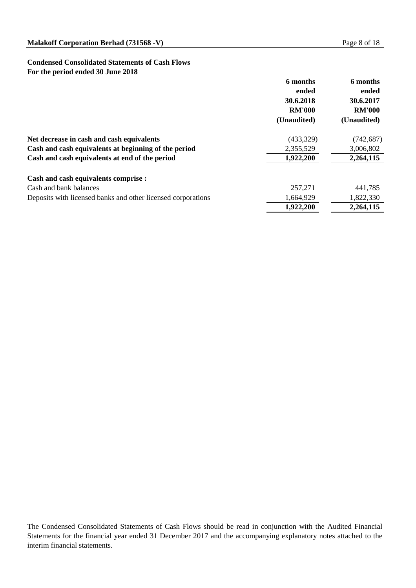# **Condensed Consolidated Statements of Cash Flows For the period ended 30 June 2018**

|                                                              | 6 months<br>ended | 6 months<br>ended |
|--------------------------------------------------------------|-------------------|-------------------|
|                                                              | 30.6.2018         | 30.6.2017         |
|                                                              | <b>RM'000</b>     | <b>RM'000</b>     |
|                                                              | (Unaudited)       | (Unaudited)       |
| Net decrease in cash and cash equivalents                    | (433,329)         | (742, 687)        |
| Cash and cash equivalents at beginning of the period         | 2,355,529         | 3,006,802         |
| Cash and cash equivalents at end of the period               | 1,922,200         | 2,264,115         |
| <b>Cash and cash equivalents comprise :</b>                  |                   |                   |
| Cash and bank balances                                       | 257, 271          | 441,785           |
| Deposits with licensed banks and other licensed corporations | 1,664,929         | 1,822,330         |
|                                                              | 1,922,200         | 2,264,115         |

The Condensed Consolidated Statements of Cash Flows should be read in conjunction with the Audited Financial Statements for the financial year ended 31 December 2017 and the accompanying explanatory notes attached to the interim financial statements.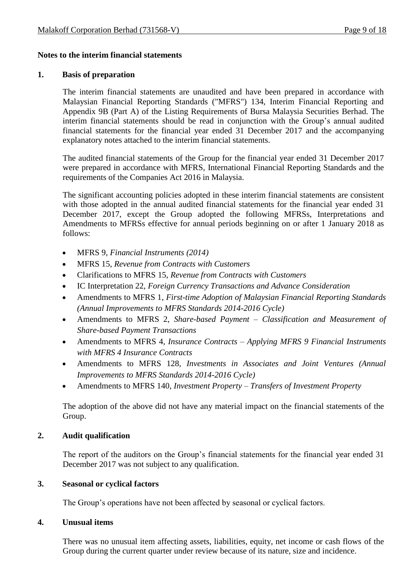# **Notes to the interim financial statements**

#### **1. Basis of preparation**

The interim financial statements are unaudited and have been prepared in accordance with Malaysian Financial Reporting Standards ("MFRS") 134, Interim Financial Reporting and Appendix 9B (Part A) of the Listing Requirements of Bursa Malaysia Securities Berhad. The interim financial statements should be read in conjunction with the Group's annual audited financial statements for the financial year ended 31 December 2017 and the accompanying explanatory notes attached to the interim financial statements.

The audited financial statements of the Group for the financial year ended 31 December 2017 were prepared in accordance with MFRS, International Financial Reporting Standards and the requirements of the Companies Act 2016 in Malaysia.

The significant accounting policies adopted in these interim financial statements are consistent with those adopted in the annual audited financial statements for the financial year ended 31 December 2017, except the Group adopted the following MFRSs, Interpretations and Amendments to MFRSs effective for annual periods beginning on or after 1 January 2018 as follows:

- MFRS 9, *Financial Instruments (2014)*
- MFRS 15, *Revenue from Contracts with Customers*
- Clarifications to MFRS 15, *Revenue from Contracts with Customers*
- IC Interpretation 22, *Foreign Currency Transactions and Advance Consideration*
- Amendments to MFRS 1, *[First-time Adoption of Malaysian Financial Reporting Standards](http://masb.org.my/pdf/MFRS%201%20042015.pdf) (Annual Improvements to MFRS Standards 2014-2016 Cycle)*
- Amendments to MFRS 2, *Share-based Payment – Classification and Measurement of Share-based Payment Transactions*
- Amendments to MFRS 4, *Insurance Contracts – Applying MFRS 9 Financial Instruments with MFRS 4 Insurance Contracts*
- Amendments to MFRS 128, *Investments in Associates and Joint Ventures (Annual Improvements to MFRS Standards 2014-2016 Cycle)*
- Amendments to MFRS 140, *[Investment Property](http://masb.org.my/pdf/MFRS%20140%20042015.pdf) – Transfers of Investment Property*

The adoption of the above did not have any material impact on the financial statements of the Group.

# **2. Audit qualification**

The report of the auditors on the Group's financial statements for the financial year ended 31 December 2017 was not subject to any qualification.

# **3. Seasonal or cyclical factors**

The Group's operations have not been affected by seasonal or cyclical factors.

# **4. Unusual items**

There was no unusual item affecting assets, liabilities, equity, net income or cash flows of the Group during the current quarter under review because of its nature, size and incidence.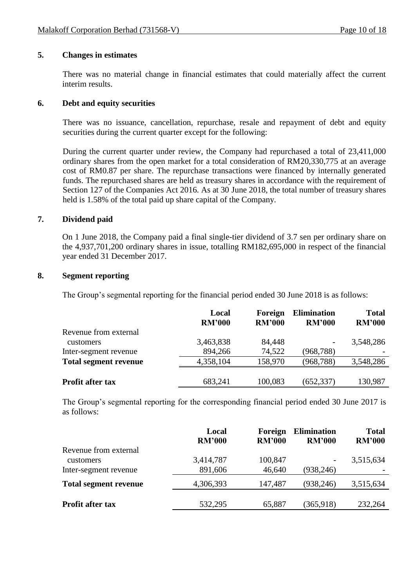### **5. Changes in estimates**

There was no material change in financial estimates that could materially affect the current interim results.

### **6. Debt and equity securities**

There was no issuance, cancellation, repurchase, resale and repayment of debt and equity securities during the current quarter except for the following:

During the current quarter under review, the Company had repurchased a total of 23,411,000 ordinary shares from the open market for a total consideration of RM20,330,775 at an average cost of RM0.87 per share. The repurchase transactions were financed by internally generated funds. The repurchased shares are held as treasury shares in accordance with the requirement of Section 127 of the Companies Act 2016. As at 30 June 2018, the total number of treasury shares held is 1.58% of the total paid up share capital of the Company.

### **7. Dividend paid**

On 1 June 2018, the Company paid a final single-tier dividend of 3.7 sen per ordinary share on the 4,937,701,200 ordinary shares in issue, totalling RM182,695,000 in respect of the financial year ended 31 December 2017.

#### **8. Segment reporting**

The Group's segmental reporting for the financial period ended 30 June 2018 is as follows:

|                              | Local<br><b>RM'000</b> | <b>Foreign</b><br><b>RM'000</b> | <b>Elimination</b><br><b>RM'000</b> | <b>Total</b><br><b>RM'000</b> |
|------------------------------|------------------------|---------------------------------|-------------------------------------|-------------------------------|
| Revenue from external        |                        |                                 |                                     |                               |
| customers                    | 3,463,838              | 84,448                          | -                                   | 3,548,286                     |
| Inter-segment revenue        | 894,266                | 74,522                          | (968, 788)                          |                               |
| <b>Total segment revenue</b> | 4,358,104              | 158,970                         | (968, 788)                          | 3,548,286                     |
| <b>Profit after tax</b>      | 683,241                | 100,083                         | (652, 337)                          | 130,987                       |
|                              |                        |                                 |                                     |                               |

The Group's segmental reporting for the corresponding financial period ended 30 June 2017 is as follows:

|                              | Local<br><b>RM'000</b> | Foreign<br><b>RM'000</b> | <b>Elimination</b><br><b>RM'000</b> | <b>Total</b><br><b>RM'000</b> |
|------------------------------|------------------------|--------------------------|-------------------------------------|-------------------------------|
| Revenue from external        |                        |                          |                                     |                               |
| customers                    | 3,414,787              | 100,847                  | -                                   | 3,515,634                     |
| Inter-segment revenue        | 891,606                | 46,640                   | (938, 246)                          |                               |
| <b>Total segment revenue</b> | 4,306,393              | 147,487                  | (938, 246)                          | 3,515,634                     |
|                              |                        |                          |                                     |                               |
| <b>Profit after tax</b>      | 532,295                | 65,887                   | (365, 918)                          | 232,264                       |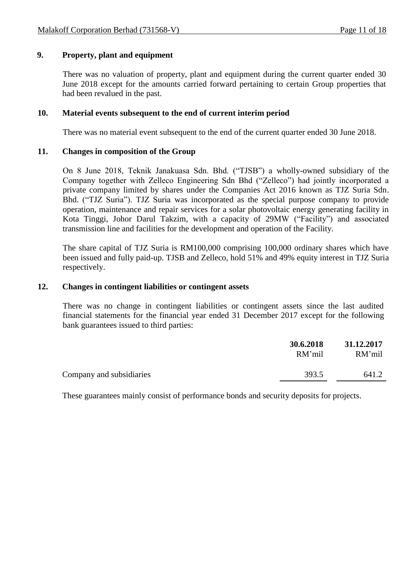# **9. Property, plant and equipment**

There was no valuation of property, plant and equipment during the current quarter ended 30 June 2018 except for the amounts carried forward pertaining to certain Group properties that had been revalued in the past.

#### **10. Material events subsequent to the end of current interim period**

There was no material event subsequent to the end of the current quarter ended 30 June 2018.

#### **11. Changes in composition of the Group**

On 8 June 2018, Teknik Janakuasa Sdn. Bhd. ("TJSB") a wholly-owned subsidiary of the Company together with Zelleco Engineering Sdn Bhd ("Zelleco") had jointly incorporated a private company limited by shares under the Companies Act 2016 known as TJZ Suria Sdn. Bhd. ("TJZ Suria"). TJZ Suria was incorporated as the special purpose company to provide operation, maintenance and repair services for a solar photovoltaic energy generating facility in Kota Tinggi, Johor Darul Takzim, with a capacity of 29MW ("Facility") and associated transmission line and facilities for the development and operation of the Facility.

The share capital of TJZ Suria is RM100,000 comprising 100,000 ordinary shares which have been issued and fully paid-up. TJSB and Zelleco, hold 51% and 49% equity interest in TJZ Suria respectively.

#### **12. Changes in contingent liabilities or contingent assets**

There was no change in contingent liabilities or contingent assets since the last audited financial statements for the financial year ended 31 December 2017 except for the following bank guarantees issued to third parties:

|                          | 30.6.2018<br>RM'mil | 31.12.2017<br>RM'mil |
|--------------------------|---------------------|----------------------|
| Company and subsidiaries | 393.5               | 641.2                |

These guarantees mainly consist of performance bonds and security deposits for projects.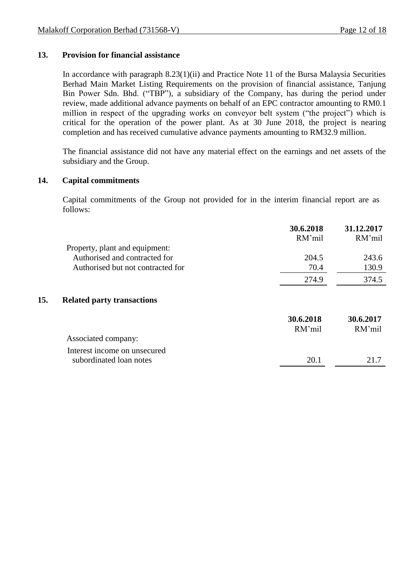# **13. Provision for financial assistance**

In accordance with paragraph 8.23(1)(ii) and Practice Note 11 of the Bursa Malaysia Securities Berhad Main Market Listing Requirements on the provision of financial assistance, Tanjung Bin Power Sdn. Bhd. ("TBP"), a subsidiary of the Company, has during the period under review, made additional advance payments on behalf of an EPC contractor amounting to RM0.1 million in respect of the upgrading works on conveyor belt system ("the project") which is critical for the operation of the power plant. As at 30 June 2018, the project is nearing completion and has received cumulative advance payments amounting to RM32.9 million.

The financial assistance did not have any material effect on the earnings and net assets of the subsidiary and the Group.

#### **14. Capital commitments**

Capital commitments of the Group not provided for in the interim financial report are as follows:

|                                          |                                   | 30.6.2018<br>RM'mil | 31.12.2017<br>RM'mil |
|------------------------------------------|-----------------------------------|---------------------|----------------------|
|                                          | Property, plant and equipment:    |                     |                      |
|                                          | Authorised and contracted for     | 204.5               | 243.6                |
|                                          | Authorised but not contracted for | 70.4                | 130.9                |
|                                          |                                   | 274.9               | 374.5                |
| 15.<br><b>Related party transactions</b> |                                   |                     |                      |
|                                          |                                   | 30.6.2018<br>RM'mil | 30.6.2017<br>RM'mil  |
| Associated company:                      |                                   |                     |                      |
|                                          | Interest income on unsecured      |                     |                      |
| subordinated loan notes                  |                                   | 20.1                | 21.7                 |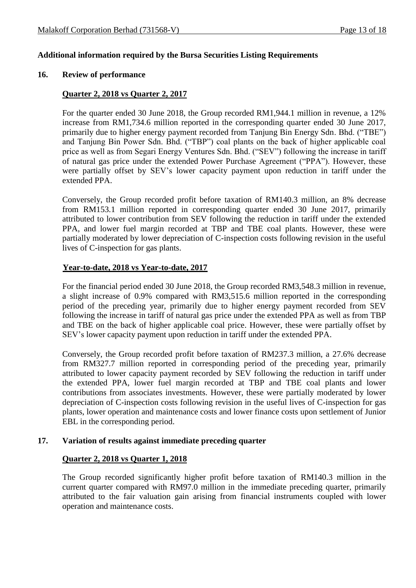#### **Additional information required by the Bursa Securities Listing Requirements**

#### **16. Review of performance**

#### **Quarter 2, 2018 vs Quarter 2, 2017**

For the quarter ended 30 June 2018, the Group recorded RM1,944.1 million in revenue, a 12% increase from RM1,734.6 million reported in the corresponding quarter ended 30 June 2017, primarily due to higher energy payment recorded from Tanjung Bin Energy Sdn. Bhd. ("TBE") and Tanjung Bin Power Sdn. Bhd. ("TBP") coal plants on the back of higher applicable coal price as well as from Segari Energy Ventures Sdn. Bhd. ("SEV") following the increase in tariff of natural gas price under the extended Power Purchase Agreement ("PPA"). However, these were partially offset by SEV's lower capacity payment upon reduction in tariff under the extended PPA.

Conversely, the Group recorded profit before taxation of RM140.3 million, an 8% decrease from RM153.1 million reported in corresponding quarter ended 30 June 2017, primarily attributed to lower contribution from SEV following the reduction in tariff under the extended PPA, and lower fuel margin recorded at TBP and TBE coal plants. However, these were partially moderated by lower depreciation of C-inspection costs following revision in the useful lives of C-inspection for gas plants.

#### **Year-to-date, 2018 vs Year-to-date, 2017**

For the financial period ended 30 June 2018, the Group recorded RM3,548.3 million in revenue, a slight increase of 0.9% compared with RM3,515.6 million reported in the corresponding period of the preceding year, primarily due to higher energy payment recorded from SEV following the increase in tariff of natural gas price under the extended PPA as well as from TBP and TBE on the back of higher applicable coal price. However, these were partially offset by SEV's lower capacity payment upon reduction in tariff under the extended PPA.

Conversely, the Group recorded profit before taxation of RM237.3 million, a 27.6% decrease from RM327.7 million reported in corresponding period of the preceding year, primarily attributed to lower capacity payment recorded by SEV following the reduction in tariff under the extended PPA, lower fuel margin recorded at TBP and TBE coal plants and lower contributions from associates investments. However, these were partially moderated by lower depreciation of C-inspection costs following revision in the useful lives of C-inspection for gas plants, lower operation and maintenance costs and lower finance costs upon settlement of Junior EBL in the corresponding period.

#### **17. Variation of results against immediate preceding quarter**

#### **Quarter 2, 2018 vs Quarter 1, 2018**

The Group recorded significantly higher profit before taxation of RM140.3 million in the current quarter compared with RM97.0 million in the immediate preceding quarter, primarily attributed to the fair valuation gain arising from financial instruments coupled with lower operation and maintenance costs.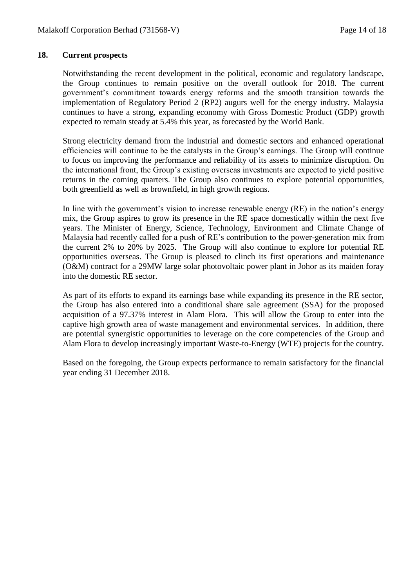#### **18. Current prospects**

Notwithstanding the recent development in the political, economic and regulatory landscape, the Group continues to remain positive on the overall outlook for 2018. The current government's commitment towards energy reforms and the smooth transition towards the implementation of Regulatory Period 2 (RP2) augurs well for the energy industry. Malaysia continues to have a strong, expanding economy with Gross Domestic Product (GDP) growth expected to remain steady at 5.4% this year, as forecasted by the World Bank.

Strong electricity demand from the industrial and domestic sectors and enhanced operational efficiencies will continue to be the catalysts in the Group's earnings. The Group will continue to focus on improving the performance and reliability of its assets to minimize disruption. On the international front, the Group's existing overseas investments are expected to yield positive returns in the coming quarters. The Group also continues to explore potential opportunities, both greenfield as well as brownfield, in high growth regions.

In line with the government's vision to increase renewable energy (RE) in the nation's energy mix, the Group aspires to grow its presence in the RE space domestically within the next five years. The Minister of Energy, Science, Technology, Environment and Climate Change of Malaysia had recently called for a push of RE's contribution to the power-generation mix from the current 2% to 20% by 2025. The Group will also continue to explore for potential RE opportunities overseas. The Group is pleased to clinch its first operations and maintenance (O&M) contract for a 29MW large solar photovoltaic power plant in Johor as its maiden foray into the domestic RE sector.

As part of its efforts to expand its earnings base while expanding its presence in the RE sector, the Group has also entered into a conditional share sale agreement (SSA) for the proposed acquisition of a 97.37% interest in Alam Flora. This will allow the Group to enter into the captive high growth area of waste management and environmental services. In addition, there are potential synergistic opportunities to leverage on the core competencies of the Group and Alam Flora to develop increasingly important Waste-to-Energy (WTE) projects for the country.

Based on the foregoing, the Group expects performance to remain satisfactory for the financial year ending 31 December 2018.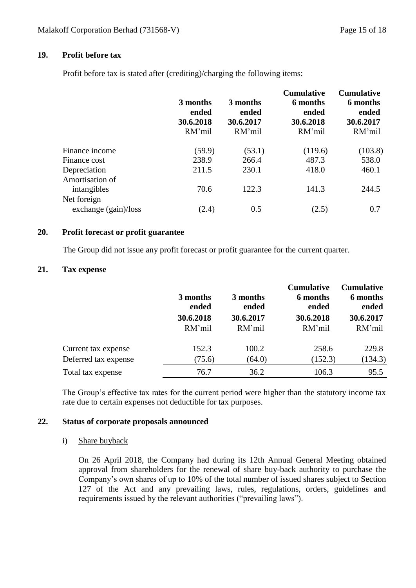# **19. Profit before tax**

Profit before tax is stated after (crediting)/charging the following items:

|                                     | 3 months<br>ended<br>30.6.2018<br>RM'mil | 3 months<br>ended<br>30.6.2017<br>RM'mil | <b>Cumulative</b><br>6 months<br>ended<br>30.6.2018<br>RM'mil | <b>Cumulative</b><br>6 months<br>ended<br>30.6.2017<br>RM'mil |
|-------------------------------------|------------------------------------------|------------------------------------------|---------------------------------------------------------------|---------------------------------------------------------------|
| Finance income                      | (59.9)                                   | (53.1)                                   | (119.6)                                                       | (103.8)                                                       |
| Finance cost                        | 238.9                                    | 266.4                                    | 487.3                                                         | 538.0                                                         |
| Depreciation                        | 211.5                                    | 230.1                                    | 418.0                                                         | 460.1                                                         |
| Amortisation of<br>intangibles      | 70.6                                     | 122.3                                    | 141.3                                                         | 244.5                                                         |
| Net foreign<br>exchange (gain)/loss | (2.4)                                    | 0.5                                      | (2.5)                                                         | 0.7                                                           |

#### **20. Profit forecast or profit guarantee**

The Group did not issue any profit forecast or profit guarantee for the current quarter.

#### **21. Tax expense**

|                                             | 3 months<br>ended<br>30.6.2018<br>RM'mil | 3 months<br>ended<br>30.6.2017<br>RM'mil | <b>Cumulative</b><br>6 months<br>ended<br>30.6.2018<br>RM'mil | <b>Cumulative</b><br>6 months<br>ended<br>30.6.2017<br>RM'mil |
|---------------------------------------------|------------------------------------------|------------------------------------------|---------------------------------------------------------------|---------------------------------------------------------------|
|                                             |                                          |                                          |                                                               |                                                               |
| Current tax expense<br>Deferred tax expense | 152.3<br>(75.6)                          | 100.2<br>(64.0)                          | 258.6<br>(152.3)                                              | 229.8<br>(134.3)                                              |
| Total tax expense                           | 76.7                                     | 36.2                                     | 106.3                                                         | 95.5                                                          |

The Group's effective tax rates for the current period were higher than the statutory income tax rate due to certain expenses not deductible for tax purposes.

#### **22. Status of corporate proposals announced**

#### i) Share buyback

On 26 April 2018, the Company had during its 12th Annual General Meeting obtained approval from shareholders for the renewal of share buy-back authority to purchase the Company's own shares of up to 10% of the total number of issued shares subject to Section 127 of the Act and any prevailing laws, rules, regulations, orders, guidelines and requirements issued by the relevant authorities ("prevailing laws").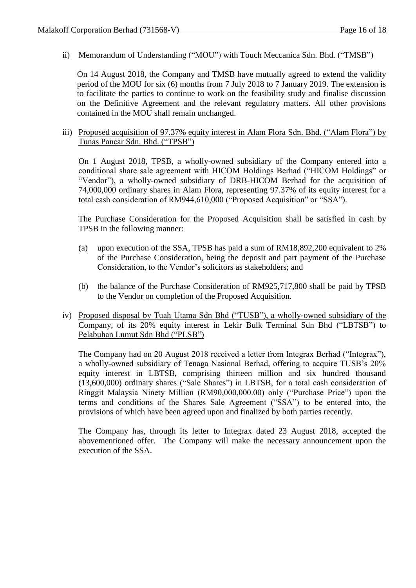#### ii) Memorandum of Understanding ("MOU") with Touch Meccanica Sdn. Bhd. ("TMSB")

On 14 August 2018, the Company and TMSB have mutually agreed to extend the validity period of the MOU for six (6) months from 7 July 2018 to 7 January 2019. The extension is to facilitate the parties to continue to work on the feasibility study and finalise discussion on the Definitive Agreement and the relevant regulatory matters. All other provisions contained in the MOU shall remain unchanged.

#### iii) Proposed acquisition of 97.37% equity interest in Alam Flora Sdn. Bhd. ("Alam Flora") by Tunas Pancar Sdn. Bhd. ("TPSB")

On 1 August 2018, TPSB, a wholly-owned subsidiary of the Company entered into a conditional share sale agreement with HICOM Holdings Berhad ("HICOM Holdings" or "Vendor"), a wholly-owned subsidiary of DRB-HICOM Berhad for the acquisition of 74,000,000 ordinary shares in Alam Flora, representing 97.37% of its equity interest for a total cash consideration of RM944,610,000 ("Proposed Acquisition" or "SSA").

The Purchase Consideration for the Proposed Acquisition shall be satisfied in cash by TPSB in the following manner:

- (a) upon execution of the SSA, TPSB has paid a sum of RM18,892,200 equivalent to 2% of the Purchase Consideration, being the deposit and part payment of the Purchase Consideration, to the Vendor's solicitors as stakeholders; and
- (b) the balance of the Purchase Consideration of RM925,717,800 shall be paid by TPSB to the Vendor on completion of the Proposed Acquisition.

### iv) Proposed disposal by Tuah Utama Sdn Bhd ("TUSB"), a wholly-owned subsidiary of the Company, of its 20% equity interest in Lekir Bulk Terminal Sdn Bhd ("LBTSB") to Pelabuhan Lumut Sdn Bhd ("PLSB")

The Company had on 20 August 2018 received a letter from Integrax Berhad ("Integrax"), a wholly-owned subsidiary of Tenaga Nasional Berhad, offering to acquire TUSB's 20% equity interest in LBTSB, comprising thirteen million and six hundred thousand (13,600,000) ordinary shares ("Sale Shares") in LBTSB, for a total cash consideration of Ringgit Malaysia Ninety Million (RM90,000,000.00) only ("Purchase Price") upon the terms and conditions of the Shares Sale Agreement ("SSA") to be entered into, the provisions of which have been agreed upon and finalized by both parties recently.

The Company has, through its letter to Integrax dated 23 August 2018, accepted the abovementioned offer. The Company will make the necessary announcement upon the execution of the SSA.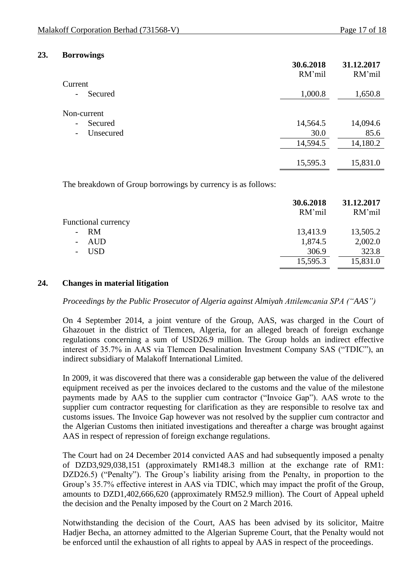**31.12.2017**

**30.6.2018**

#### **23. Borrowings**

|                                       | 30.6.2018<br>RM'mil | 31.12.2017<br>RM'mil |
|---------------------------------------|---------------------|----------------------|
| Current                               |                     |                      |
| Secured<br>$\overline{\phantom{a}}$   | 1,000.8             | 1,650.8              |
| Non-current                           |                     |                      |
| Secured<br>$\overline{\phantom{a}}$   | 14,564.5            | 14,094.6             |
| Unsecured<br>$\overline{\phantom{a}}$ | 30.0                | 85.6                 |
|                                       | 14,594.5            | 14,180.2             |
|                                       |                     |                      |
|                                       | 15,595.3            | 15,831.0             |

The breakdown of Group borrowings by currency is as follows:

|                            | 30.6.2018<br>RM'mil | 31.12.2017<br>RM'mil |
|----------------------------|---------------------|----------------------|
| <b>Functional currency</b> |                     |                      |
| $- RM$                     | 13,413.9            | 13,505.2             |
| AUD                        | 1,874.5             | 2,002.0              |
| <b>USD</b>                 | 306.9               | 323.8                |
|                            | 15,595.3            | 15,831.0             |

#### **24. Changes in material litigation**

*Proceedings by the Public Prosecutor of Algeria against Almiyah Attilemcania SPA ("AAS")*

On 4 September 2014, a joint venture of the Group, AAS, was charged in the Court of Ghazouet in the district of Tlemcen, Algeria, for an alleged breach of foreign exchange regulations concerning a sum of USD26.9 million. The Group holds an indirect effective interest of 35.7% in AAS via Tlemcen Desalination Investment Company SAS ("TDIC"), an indirect subsidiary of Malakoff International Limited.

In 2009, it was discovered that there was a considerable gap between the value of the delivered equipment received as per the invoices declared to the customs and the value of the milestone payments made by AAS to the supplier cum contractor ("Invoice Gap"). AAS wrote to the supplier cum contractor requesting for clarification as they are responsible to resolve tax and customs issues. The Invoice Gap however was not resolved by the supplier cum contractor and the Algerian Customs then initiated investigations and thereafter a charge was brought against AAS in respect of repression of foreign exchange regulations.

The Court had on 24 December 2014 convicted AAS and had subsequently imposed a penalty of DZD3,929,038,151 (approximately RM148.3 million at the exchange rate of RM1: DZD26.5) ("Penalty"). The Group's liability arising from the Penalty, in proportion to the Group's 35.7% effective interest in AAS via TDIC, which may impact the profit of the Group, amounts to DZD1,402,666,620 (approximately RM52.9 million). The Court of Appeal upheld the decision and the Penalty imposed by the Court on 2 March 2016.

Notwithstanding the decision of the Court, AAS has been advised by its solicitor, Maitre Hadjer Becha, an attorney admitted to the Algerian Supreme Court, that the Penalty would not be enforced until the exhaustion of all rights to appeal by AAS in respect of the proceedings.